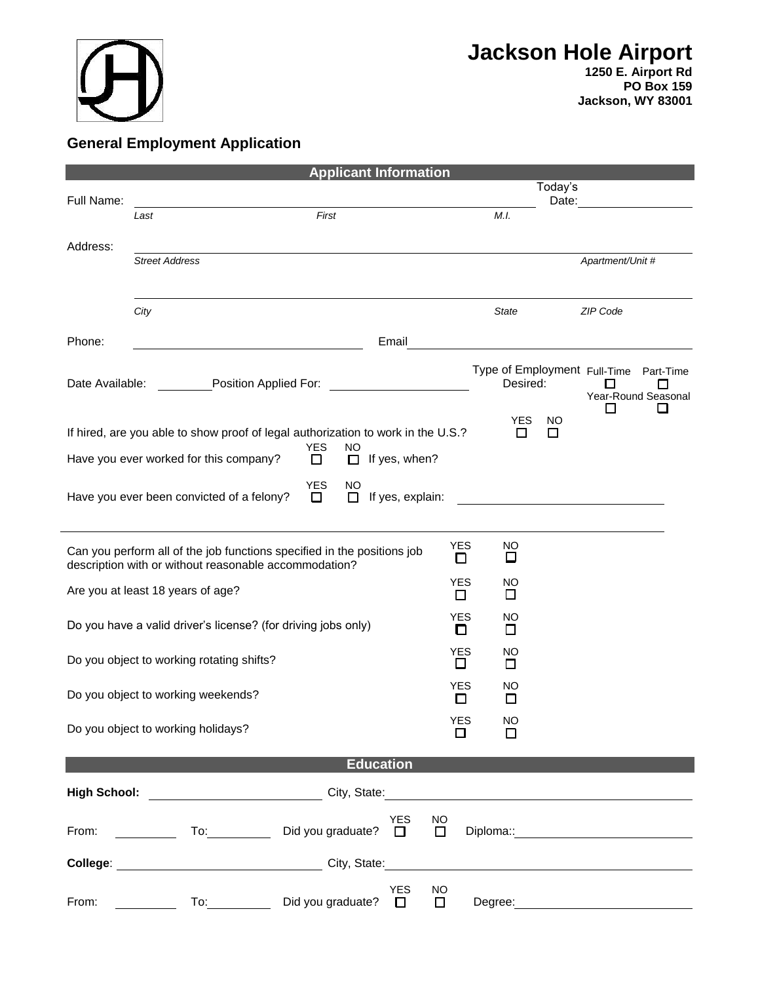

**1250 E. Airport Rd PO Box 159 Jackson, WY 83001**

## **General Employment Application**

|                                                                                                                                                                |                                                                                                                                                                                                                                | <b>Applicant Information</b>                             |                     |                                          |                  |                  |                                       |
|----------------------------------------------------------------------------------------------------------------------------------------------------------------|--------------------------------------------------------------------------------------------------------------------------------------------------------------------------------------------------------------------------------|----------------------------------------------------------|---------------------|------------------------------------------|------------------|------------------|---------------------------------------|
| Full Name:                                                                                                                                                     |                                                                                                                                                                                                                                |                                                          |                     |                                          | Today's<br>Date: |                  |                                       |
|                                                                                                                                                                | Last                                                                                                                                                                                                                           | First                                                    |                     | M.I.                                     |                  |                  |                                       |
| Address:                                                                                                                                                       |                                                                                                                                                                                                                                |                                                          |                     |                                          |                  |                  |                                       |
|                                                                                                                                                                | <b>Street Address</b>                                                                                                                                                                                                          |                                                          |                     |                                          |                  | Apartment/Unit # |                                       |
|                                                                                                                                                                |                                                                                                                                                                                                                                |                                                          |                     |                                          |                  |                  |                                       |
|                                                                                                                                                                | City                                                                                                                                                                                                                           |                                                          |                     | <b>State</b>                             |                  | ZIP Code         |                                       |
| Phone:                                                                                                                                                         |                                                                                                                                                                                                                                | Email                                                    |                     |                                          |                  |                  |                                       |
| Date Available:                                                                                                                                                | <b>Position Applied For:</b>                                                                                                                                                                                                   |                                                          |                     | Type of Employment Full-Time<br>Desired: |                  | П                | Part-Time<br>◘<br>Year-Round Seasonal |
|                                                                                                                                                                |                                                                                                                                                                                                                                |                                                          |                     | YES                                      | NO               | П                |                                       |
|                                                                                                                                                                | If hired, are you able to show proof of legal authorization to work in the U.S.?                                                                                                                                               | <b>YES</b><br><b>NO</b>                                  |                     | □                                        | □                |                  |                                       |
|                                                                                                                                                                | Have you ever worked for this company?                                                                                                                                                                                         | $\Box$<br>If yes, when?<br>0                             |                     |                                          |                  |                  |                                       |
|                                                                                                                                                                | Have you ever been convicted of a felony?                                                                                                                                                                                      | <b>YES</b><br>NO<br>$\Box$<br>$\Box$<br>If yes, explain: |                     |                                          |                  |                  |                                       |
| <b>YES</b><br>NO<br>Can you perform all of the job functions specified in the positions job<br>□<br>□<br>description with or without reasonable accommodation? |                                                                                                                                                                                                                                |                                                          |                     |                                          |                  |                  |                                       |
|                                                                                                                                                                | Are you at least 18 years of age?                                                                                                                                                                                              |                                                          | <b>YES</b><br>П     | NO<br>□                                  |                  |                  |                                       |
| Do you have a valid driver's license? (for driving jobs only)                                                                                                  |                                                                                                                                                                                                                                |                                                          | <b>YES</b><br>O     | NO<br>□                                  |                  |                  |                                       |
|                                                                                                                                                                | Do you object to working rotating shifts?                                                                                                                                                                                      |                                                          | <b>YES</b><br>Ш     | NO.<br>□                                 |                  |                  |                                       |
|                                                                                                                                                                | Do you object to working weekends?                                                                                                                                                                                             |                                                          | <b>YES</b><br>П     | NO<br>$\Box$                             |                  |                  |                                       |
|                                                                                                                                                                | Do you object to working holidays?                                                                                                                                                                                             |                                                          | YES<br>$\Box$       | <b>NO</b><br>□                           |                  |                  |                                       |
|                                                                                                                                                                |                                                                                                                                                                                                                                | <b>Education</b>                                         |                     |                                          |                  |                  |                                       |
|                                                                                                                                                                |                                                                                                                                                                                                                                |                                                          |                     |                                          |                  |                  |                                       |
|                                                                                                                                                                | High School: __________________________City, State:______________________________                                                                                                                                              |                                                          |                     |                                          |                  |                  |                                       |
| From:                                                                                                                                                          |                                                                                                                                                                                                                                | <b>YES</b><br>Did you graduate? $\Box$                   | NO.<br>□            |                                          |                  |                  |                                       |
|                                                                                                                                                                | College: 2001 College: 2008 City, State: 2008 City, State: 2008 College: 2008 College: 2008 City, State: 2008 City, State: 2008 City, State: 2008 City, State: 2008 City, State: 2008 City, State: 2008 City, State: 2008 City |                                                          |                     |                                          |                  |                  |                                       |
| From:                                                                                                                                                          | To: the contract of the contract of the contract of the contract of the contract of the contract of the contract of the contract of the contract of the contract of the contract of the contract of the contract of the contra | <b>YES</b><br>Did you graduate?<br>$\Box$                | <b>NO</b><br>$\Box$ | Degree:                                  |                  |                  |                                       |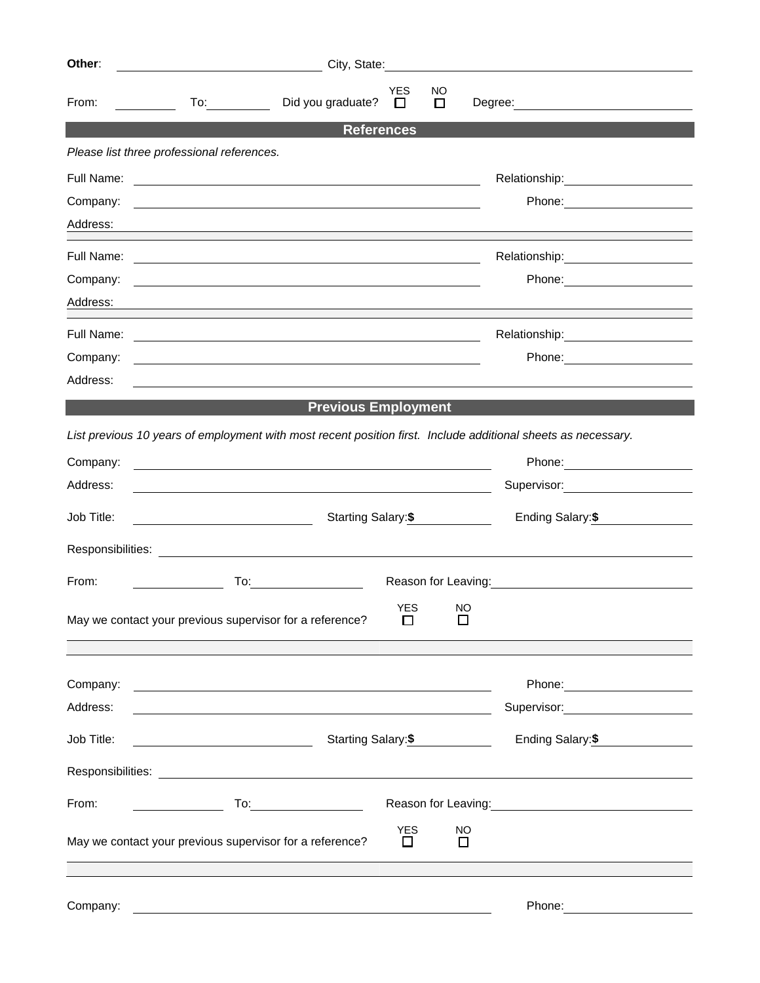| Other:     | City, State:                                                                                                                                                                                                                   |                            |              |                                                               |                  |
|------------|--------------------------------------------------------------------------------------------------------------------------------------------------------------------------------------------------------------------------------|----------------------------|--------------|---------------------------------------------------------------|------------------|
| From:      | Did you graduate?                                                                                                                                                                                                              | <b>YES</b><br>$\Box$       | NO.<br>□     | Degree: <u>______________________________</u>                 |                  |
|            |                                                                                                                                                                                                                                | <b>References</b>          |              |                                                               |                  |
|            | Please list three professional references.                                                                                                                                                                                     |                            |              |                                                               |                  |
| Full Name: |                                                                                                                                                                                                                                |                            |              |                                                               |                  |
| Company:   | <u> 1999 - Johann Harry Harry Harry Harry Harry Harry Harry Harry Harry Harry Harry Harry Harry Harry Harry Harry H</u>                                                                                                        |                            |              |                                                               |                  |
| Address:   |                                                                                                                                                                                                                                |                            |              |                                                               |                  |
| Full Name: | <u> 1989 - Andrea Branden, amerikan basar personal dan berasal dan berasal dalam basa dan berasal dan berasal dan</u>                                                                                                          |                            |              | Relationship:______________________                           |                  |
| Company:   |                                                                                                                                                                                                                                |                            |              |                                                               |                  |
| Address:   |                                                                                                                                                                                                                                |                            |              |                                                               |                  |
|            |                                                                                                                                                                                                                                |                            |              |                                                               |                  |
| Company:   | <u> 1989 - Johann Barn, amerikan besteman besteman besteman besteman besteman besteman besteman besteman besteman</u>                                                                                                          |                            |              |                                                               |                  |
| Address:   | <u> 1989 - Johann Stein, mars an deutscher Stein († 1989)</u>                                                                                                                                                                  |                            |              |                                                               |                  |
|            | <b>Previous Employment</b>                                                                                                                                                                                                     |                            |              |                                                               |                  |
|            | List previous 10 years of employment with most recent position first. Include additional sheets as necessary.                                                                                                                  |                            |              |                                                               |                  |
| Company:   |                                                                                                                                                                                                                                |                            |              |                                                               |                  |
| Address:   |                                                                                                                                                                                                                                |                            |              | Supervisor: Victor Communication Communication                |                  |
| Job Title: |                                                                                                                                                                                                                                | Starting Salary: \$        |              |                                                               | Ending Salary:\$ |
|            | Responsibilities: Later and the contract of the contract of the contract of the contract of the contract of the contract of the contract of the contract of the contract of the contract of the contract of the contract of th |                            |              |                                                               |                  |
| From:      |                                                                                                                                                                                                                                |                            |              | Reason for Leaving:<br><u>Example 2008</u>                    |                  |
|            | May we contact your previous supervisor for a reference?                                                                                                                                                                       | <b>YES</b><br>□            | NO<br>$\Box$ |                                                               |                  |
| Company:   | <u> 1989 - Johann Barn, fransk politik fotograf (d. 1989)</u>                                                                                                                                                                  |                            |              |                                                               |                  |
| Address:   |                                                                                                                                                                                                                                |                            |              | Supervisor: <u>_____________</u>                              |                  |
| Job Title: | <u> 1980 - Johann Barn, mars and de Branch Barn, mars and de Branch Barn, mars and de Branch Barn, mars and de Br</u>                                                                                                          | Starting Salary:\$         |              |                                                               | Ending Salary:\$ |
|            |                                                                                                                                                                                                                                |                            |              |                                                               |                  |
| From:      |                                                                                                                                                                                                                                |                            |              | Reason for Leaving: Management Control of Reason for Leaving: |                  |
|            | May we contact your previous supervisor for a reference?                                                                                                                                                                       | <b>YES</b><br>$\mathbf{L}$ | NO<br>$\Box$ |                                                               |                  |
|            |                                                                                                                                                                                                                                |                            |              |                                                               |                  |
| Company:   | <u> 1989 - Johann Barn, fransk politik (d. 1989)</u>                                                                                                                                                                           |                            |              |                                                               |                  |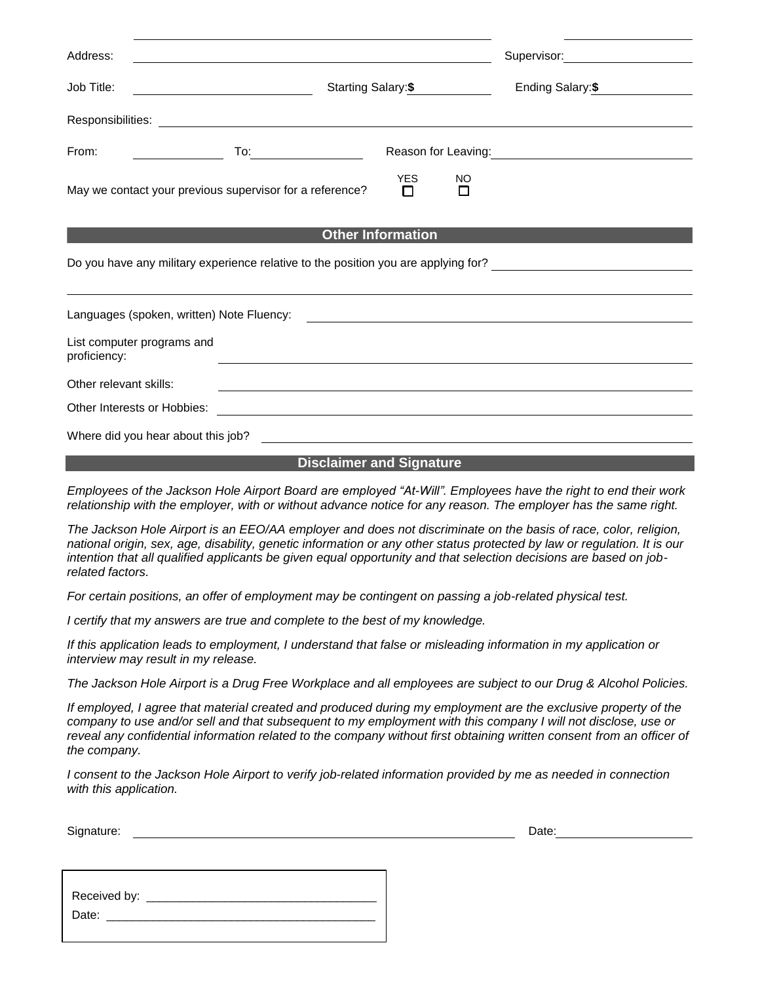| Address:                                                                           |                                                          |                  |         | Supervisor: Victor Communication Communication |  |  |
|------------------------------------------------------------------------------------|----------------------------------------------------------|------------------|---------|------------------------------------------------|--|--|
| Job Title:                                                                         | Starting Salary: \$                                      |                  |         | Ending Salary:\$                               |  |  |
|                                                                                    |                                                          |                  |         |                                                |  |  |
| From:                                                                              |                                                          |                  |         |                                                |  |  |
|                                                                                    | May we contact your previous supervisor for a reference? | <b>YES</b><br>П. | NO<br>П |                                                |  |  |
| <b>Other Information</b>                                                           |                                                          |                  |         |                                                |  |  |
| Do you have any military experience relative to the position you are applying for? |                                                          |                  |         |                                                |  |  |
|                                                                                    |                                                          |                  |         |                                                |  |  |
| proficiency:                                                                       | List computer programs and                               |                  |         |                                                |  |  |
| Other relevant skills:                                                             |                                                          |                  |         |                                                |  |  |
|                                                                                    |                                                          |                  |         |                                                |  |  |

Other Interests or Hobbies:

Where did you hear about this job?

## **Disclaimer and Signature**

*Employees of the Jackson Hole Airport Board are employed "At-Will". Employees have the right to end their work*  relationship with the employer, with or without advance notice for any reason. The employer has the same right.

*The Jackson Hole Airport is an EEO/AA employer and does not discriminate on the basis of race, color, religion, national origin, sex, age, disability, genetic information or any other status protected by law or regulation. It is our intention that all qualified applicants be given equal opportunity and that selection decisions are based on jobrelated factors.*

*For certain positions, an offer of employment may be contingent on passing a job-related physical test.*

*I certify that my answers are true and complete to the best of my knowledge.* 

*If this application leads to employment, I understand that false or misleading information in my application or interview may result in my release.*

*The Jackson Hole Airport is a Drug Free Workplace and all employees are subject to our Drug & Alcohol Policies.*

*If employed, I agree that material created and produced during my employment are the exclusive property of the company to use and/or sell and that subsequent to my employment with this company I will not disclose, use or*  reveal any confidential information related to the company without first obtaining written consent from an officer of *the company.* 

*I consent to the Jackson Hole Airport to verify job-related information provided by me as needed in connection with this application.*

Signature: Date: Date: Date: Date: Date: Date: Date: Date: Date: Date: Date: Date: Date: Date: Date: Date: Date: Date: Date: Date: Date: Date: Date: Date: Date: Date: Date: Date: Date: Date: Date: Date: Date: Date: Date: D

| Received by: __ |
|-----------------|
| Date:           |
|                 |